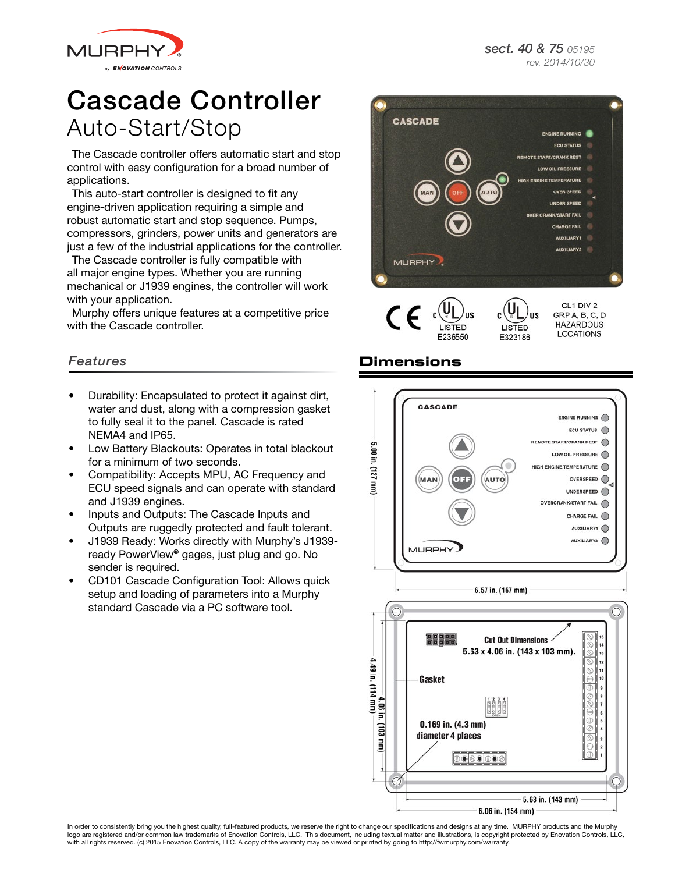*sect. 40 & 75 05195 rev. 2014/10/30*



# Cascade Controller Auto-Start/Stop

The Cascade controller offers automatic start and stop control with easy configuration for a broad number of applications.

This auto-start controller is designed to fit any engine-driven application requiring a simple and robust automatic start and stop sequence. Pumps, compressors, grinders, power units and generators are just a few of the industrial applications for the controller.

The Cascade controller is fully compatible with all major engine types. Whether you are running mechanical or J1939 engines, the controller will work with your application.

Murphy offers unique features at a competitive price with the Cascade controller.

#### *Features*

- Durability: Encapsulated to protect it against dirt, water and dust, along with a compression gasket to fully seal it to the panel. Cascade is rated NEMA4 and IP65.
- Low Battery Blackouts: Operates in total blackout for a minimum of two seconds.
- Compatibility: Accepts MPU, AC Frequency and ECU speed signals and can operate with standard and J1939 engines.
- Inputs and Outputs: The Cascade Inputs and Outputs are ruggedly protected and fault tolerant.
- J1939 Ready: Works directly with Murphy's J1939 ready PowerView® gages, just plug and go. No sender is required.
- CD101 Cascade Configuration Tool: Allows quick setup and loading of parameters into a Murphy standard Cascade via a PC software tool.



LISTED **I ISTED** F236550 E323186

CL1 DIV 2 GRP A, B, C, D **HAZARDOUS LOCATIONS** 

**IIS** 

### **Dimensions**



In order to consistently bring you the highest quality, full-featured products, we reserve the right to change our specifications and designs at any time. MURPHY products and the Murphy logo are registered and/or common law trademarks of Enovation Controls, LLC. This document, including textual matter and illustrations, is copyright protected by Enovation Controls, LLC, with all rights reserved. (c) 2015 Enovation Controls, LLC. A copy of the warranty may be viewed or printed by going to http://fwmurphy.com/warranty.